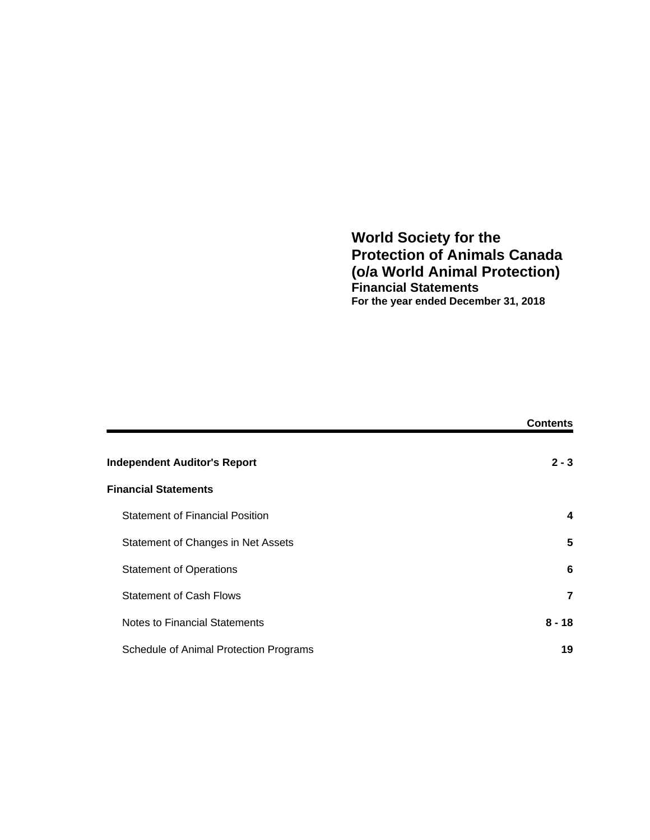## **World Society for the Protection of Animals Canada (o/a World Animal Protection) Financial Statements For the year ended December 31, 2018**

|                                        | <b>Contents</b> |
|----------------------------------------|-----------------|
| <b>Independent Auditor's Report</b>    | $2 - 3$         |
| <b>Financial Statements</b>            |                 |
| <b>Statement of Financial Position</b> | 4               |
| Statement of Changes in Net Assets     | 5               |
| <b>Statement of Operations</b>         | 6               |
| <b>Statement of Cash Flows</b>         | 7               |
| Notes to Financial Statements          | $8 - 18$        |
| Schedule of Animal Protection Programs | 19              |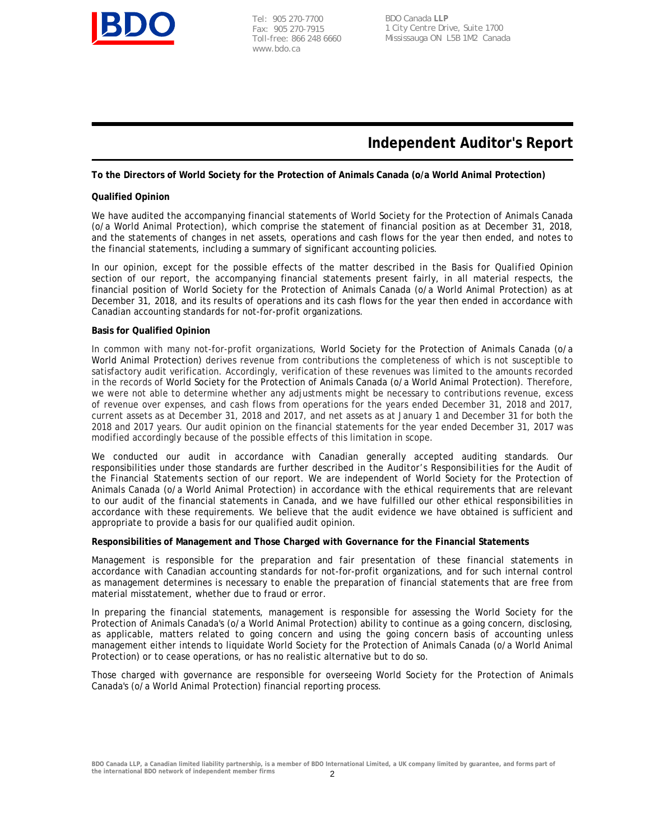

Tel: 905 270-7700 Fax: 905 270-7915 Toll-free: 866 248 6660 www.bdo.ca

BDO Canada **LLP** 1 City Centre Drive, Suite 1700 Mississauga ON L5B 1M2 Canada

## **Independent Auditor's Report**

#### **To the Directors of World Society for the Protection of Animals Canada (o/a World Animal Protection)**

#### **Qualified Opinion**

We have audited the accompanying financial statements of World Society for the Protection of Animals Canada (o/a World Animal Protection), which comprise the statement of financial position as at December 31, 2018, and the statements of changes in net assets, operations and cash flows for the year then ended, and notes to the financial statements, including a summary of significant accounting policies.

In our opinion, except for the possible effects of the matter described in the *Basis for Qualified Opinion* section of our report, the accompanying financial statements present fairly, in all material respects, the financial position of World Society for the Protection of Animals Canada (o/a World Animal Protection) as at December 31, 2018, and its results of operations and its cash flows for the year then ended in accordance with Canadian accounting standards for not-for-profit organizations.

#### **Basis for Qualified Opinion**

In common with many not-for-profit organizations, World Society for the Protection of Animals Canada (o/a World Animal Protection) derives revenue from contributions the completeness of which is not susceptible to satisfactory audit verification. Accordingly, verification of these revenues was limited to the amounts recorded in the records of World Society for the Protection of Animals Canada (o/a World Animal Protection). Therefore, we were not able to determine whether any adjustments might be necessary to contributions revenue, excess of revenue over expenses, and cash flows from operations for the years ended December 31, 2018 and 2017, current assets as at December 31, 2018 and 2017, and net assets as at January 1 and December 31 for both the 2018 and 2017 years. Our audit opinion on the financial statements for the year ended December 31, 2017 was modified accordingly because of the possible effects of this limitation in scope.

We conducted our audit in accordance with Canadian generally accepted auditing standards. Our responsibilities under those standards are further described in the *Auditor's Responsibilities for the Audit of the Financial Statements* section of our report. We are independent of World Society for the Protection of Animals Canada (o/a World Animal Protection) in accordance with the ethical requirements that are relevant to our audit of the financial statements in Canada, and we have fulfilled our other ethical responsibilities in accordance with these requirements. We believe that the audit evidence we have obtained is sufficient and appropriate to provide a basis for our qualified audit opinion.

#### **Responsibilities of Management and Those Charged with Governance for the Financial Statements**

Management is responsible for the preparation and fair presentation of these financial statements in accordance with Canadian accounting standards for not-for-profit organizations, and for such internal control as management determines is necessary to enable the preparation of financial statements that are free from material misstatement, whether due to fraud or error.

In preparing the financial statements, management is responsible for assessing the World Society for the Protection of Animals Canada's (o/a World Animal Protection) ability to continue as a going concern, disclosing, as applicable, matters related to going concern and using the going concern basis of accounting unless management either intends to liquidate World Society for the Protection of Animals Canada (o/a World Animal Protection) or to cease operations, or has no realistic alternative but to do so.

Those charged with governance are responsible for overseeing World Society for the Protection of Animals Canada's (o/a World Animal Protection) financial reporting process.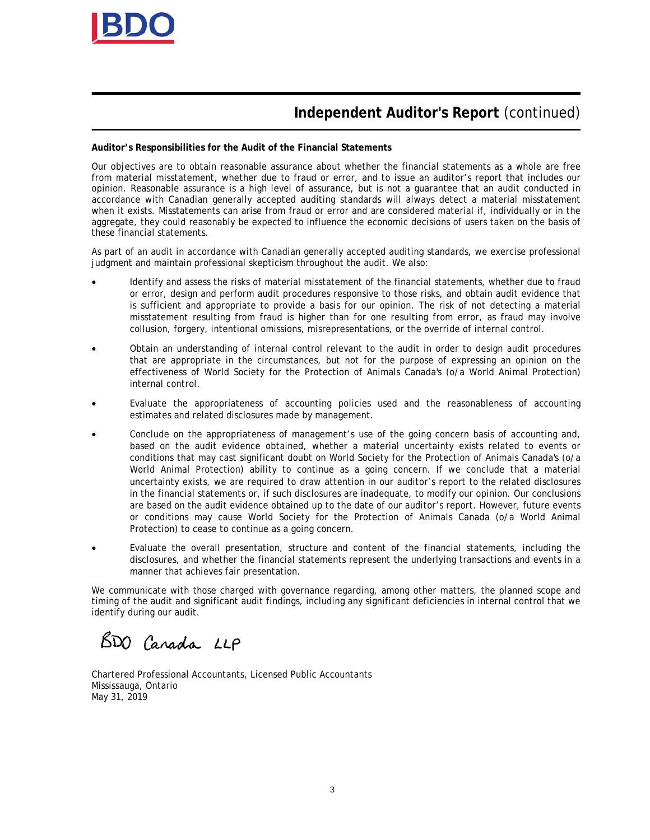

# **Independent Auditor's Report** (continued)

#### **Auditor's Responsibilities for the Audit of the Financial Statements**

Our objectives are to obtain reasonable assurance about whether the financial statements as a whole are free from material misstatement, whether due to fraud or error, and to issue an auditor's report that includes our opinion. Reasonable assurance is a high level of assurance, but is not a guarantee that an audit conducted in accordance with Canadian generally accepted auditing standards will always detect a material misstatement when it exists. Misstatements can arise from fraud or error and are considered material if, individually or in the aggregate, they could reasonably be expected to influence the economic decisions of users taken on the basis of these financial statements.

As part of an audit in accordance with Canadian generally accepted auditing standards, we exercise professional judgment and maintain professional skepticism throughout the audit. We also:

- Identify and assess the risks of material misstatement of the financial statements, whether due to fraud or error, design and perform audit procedures responsive to those risks, and obtain audit evidence that is sufficient and appropriate to provide a basis for our opinion. The risk of not detecting a material misstatement resulting from fraud is higher than for one resulting from error, as fraud may involve collusion, forgery, intentional omissions, misrepresentations, or the override of internal control.
- Obtain an understanding of internal control relevant to the audit in order to design audit procedures that are appropriate in the circumstances, but not for the purpose of expressing an opinion on the effectiveness of World Society for the Protection of Animals Canada's (o/a World Animal Protection) internal control.
- Evaluate the appropriateness of accounting policies used and the reasonableness of accounting estimates and related disclosures made by management.
- Conclude on the appropriateness of management's use of the going concern basis of accounting and, based on the audit evidence obtained, whether a material uncertainty exists related to events or conditions that may cast significant doubt on World Society for the Protection of Animals Canada's (o/a World Animal Protection) ability to continue as a going concern. If we conclude that a material uncertainty exists, we are required to draw attention in our auditor's report to the related disclosures in the financial statements or, if such disclosures are inadequate, to modify our opinion. Our conclusions are based on the audit evidence obtained up to the date of our auditor's report. However, future events or conditions may cause World Society for the Protection of Animals Canada (o/a World Animal Protection) to cease to continue as a going concern.
- Evaluate the overall presentation, structure and content of the financial statements, including the disclosures, and whether the financial statements represent the underlying transactions and events in a manner that achieves fair presentation.

We communicate with those charged with governance regarding, among other matters, the planned scope and timing of the audit and significant audit findings, including any significant deficiencies in internal control that we identify during our audit.

BDO Canada LLP

Chartered Professional Accountants, Licensed Public Accountants Mississauga, Ontario May 31, 2019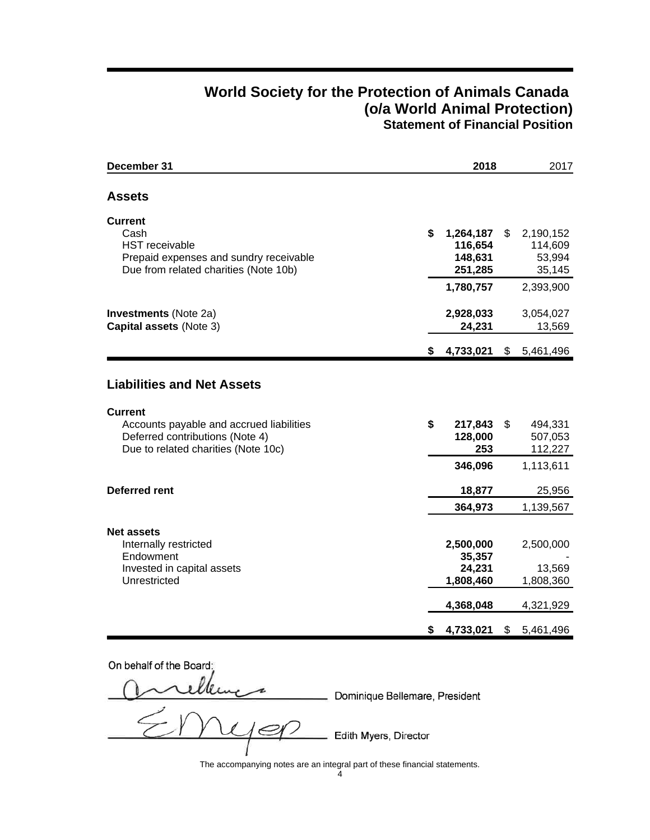## **World Society for the Protection of Animals Canada (o/a World Animal Protection) Statement of Financial Position**

| December 31                                                                                                                                                               |    | 2018                                                    | 2017                                                        |  |
|---------------------------------------------------------------------------------------------------------------------------------------------------------------------------|----|---------------------------------------------------------|-------------------------------------------------------------|--|
| <b>Assets</b>                                                                                                                                                             |    |                                                         |                                                             |  |
| <b>Current</b><br>Cash<br><b>HST</b> receivable<br>Prepaid expenses and sundry receivable<br>Due from related charities (Note 10b)                                        | \$ | 1,264,187<br>116,654<br>148,631<br>251,285<br>1,780,757 | \$<br>2,190,152<br>114,609<br>53,994<br>35,145<br>2,393,900 |  |
| <b>Investments</b> (Note 2a)<br>Capital assets (Note 3)                                                                                                                   |    | 2,928,033<br>24,231                                     | 3,054,027<br>13,569                                         |  |
|                                                                                                                                                                           | S. | 4,733,021                                               | \$<br>5,461,496                                             |  |
| <b>Liabilities and Net Assets</b><br><b>Current</b><br>Accounts payable and accrued liabilities<br>Deferred contributions (Note 4)<br>Due to related charities (Note 10c) | \$ | 217,843<br>128,000<br>253                               | \$<br>494,331<br>507,053<br>112,227                         |  |
| <b>Deferred rent</b>                                                                                                                                                      |    | 346,096<br>18,877<br>364,973                            | 1,113,611<br>25,956<br>1,139,567                            |  |
| <b>Net assets</b><br>Internally restricted<br>Endowment<br>Invested in capital assets<br>Unrestricted                                                                     |    | 2,500,000<br>35,357<br>24,231<br>1,808,460              | 2,500,000<br>13,569<br>1,808,360                            |  |
|                                                                                                                                                                           | \$ | 4,368,048<br>4,733,021                                  | \$<br>4,321,929<br>5,461,496                                |  |

On behalf of the Board: lki  $Zm$  $\overline{1}$ 

**Dominique Bellemare, President** 

Edith Myers, Director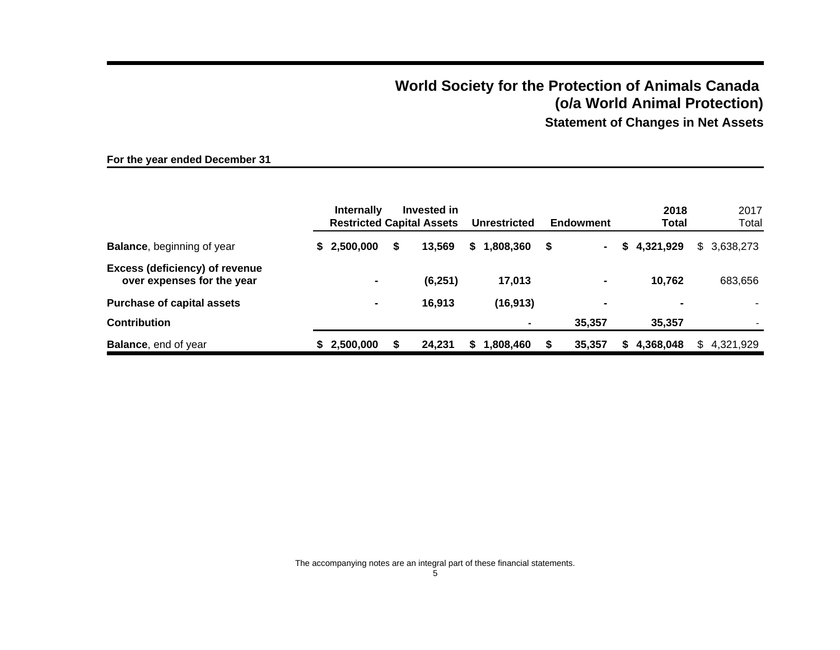# **World Society for the Protection of Animals Canada (o/a World Animal Protection) Statement of Changes in Net Assets**

**For the year ended December 31**

|                                                                     |    | Internally<br><b>Restricted Capital Assets</b> |   | Invested in |   | <b>Unrestricted</b> |   | <b>Endowment</b> | 2018<br>Total   |     | 2017<br>Total |
|---------------------------------------------------------------------|----|------------------------------------------------|---|-------------|---|---------------------|---|------------------|-----------------|-----|---------------|
| <b>Balance, beginning of year</b>                                   |    | \$2.500.000                                    | S | 13,569      | S | 1,808,360           | S | $\blacksquare$   | \$4,321,929     | \$  | 3,638,273     |
| <b>Excess (deficiency) of revenue</b><br>over expenses for the year |    |                                                |   | (6, 251)    |   | 17,013              |   | $\blacksquare$   | 10,762          |     | 683,656       |
| <b>Purchase of capital assets</b>                                   |    | $\blacksquare$                                 |   | 16,913      |   | (16, 913)           |   |                  | $\blacksquare$  |     |               |
| <b>Contribution</b>                                                 |    |                                                |   |             |   | $\blacksquare$      |   | 35,357           | 35,357          |     |               |
| <b>Balance, end of year</b>                                         | S. | 2,500,000                                      |   | 24,231      | S | 1,808,460           | S | 35,357           | 4,368,048<br>S. | \$. | 4,321,929     |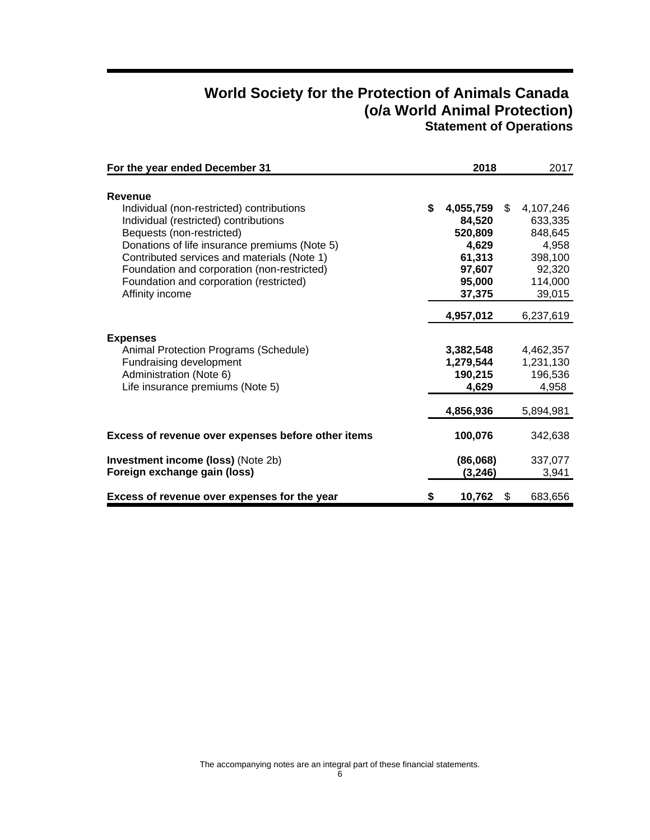## **World Society for the Protection of Animals Canada (o/a World Animal Protection) Statement of Operations**

| For the year ended December 31                                                                                                                                                                                                                                                                                                          | 2018                                                                                  | 2017                                                                                     |
|-----------------------------------------------------------------------------------------------------------------------------------------------------------------------------------------------------------------------------------------------------------------------------------------------------------------------------------------|---------------------------------------------------------------------------------------|------------------------------------------------------------------------------------------|
| Revenue<br>Individual (non-restricted) contributions<br>Individual (restricted) contributions<br>Bequests (non-restricted)<br>Donations of life insurance premiums (Note 5)<br>Contributed services and materials (Note 1)<br>Foundation and corporation (non-restricted)<br>Foundation and corporation (restricted)<br>Affinity income | \$<br>4,055,759<br>84,520<br>520,809<br>4,629<br>61,313<br>97,607<br>95,000<br>37,375 | \$<br>4,107,246<br>633,335<br>848,645<br>4,958<br>398,100<br>92,320<br>114,000<br>39,015 |
| <b>Expenses</b><br>Animal Protection Programs (Schedule)<br>Fundraising development<br>Administration (Note 6)<br>Life insurance premiums (Note 5)                                                                                                                                                                                      | 4,957,012<br>3,382,548<br>1,279,544<br>190,215<br>4,629                               | 6,237,619<br>4,462,357<br>1,231,130<br>196,536<br>4,958                                  |
|                                                                                                                                                                                                                                                                                                                                         | 4,856,936                                                                             | 5,894,981                                                                                |
| Excess of revenue over expenses before other items                                                                                                                                                                                                                                                                                      | 100,076                                                                               | 342,638                                                                                  |
| <b>Investment income (loss)</b> (Note 2b)<br>Foreign exchange gain (loss)                                                                                                                                                                                                                                                               | (86,068)<br>(3, 246)                                                                  | 337,077<br>3,941                                                                         |
| Excess of revenue over expenses for the year                                                                                                                                                                                                                                                                                            | \$<br>10,762                                                                          | \$<br>683,656                                                                            |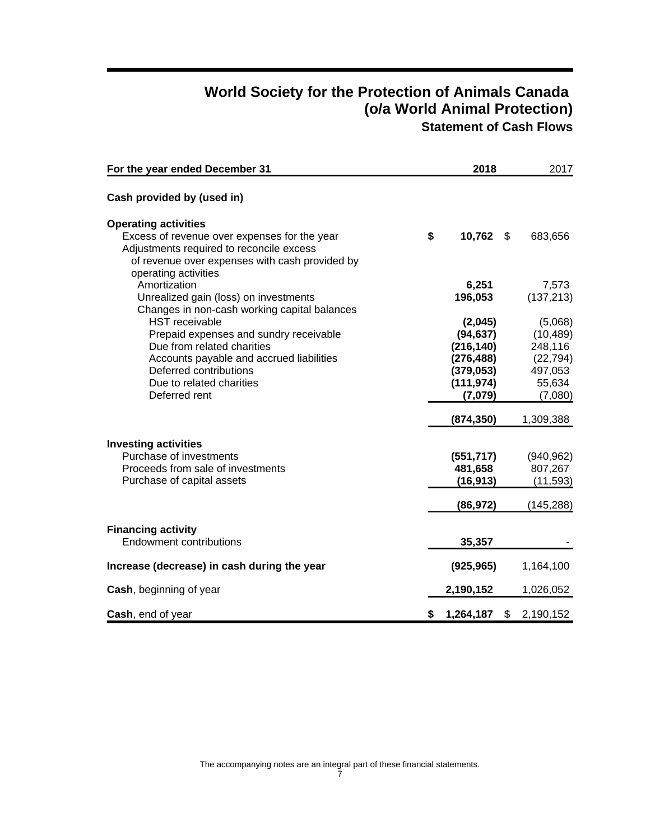## **World Society for the Protection of Animals Canada (o/a World Animal Protection) Statement of Cash Flows**

| For the year ended December 31                                                                                                                                            | 2018                                             | 2017                                         |
|---------------------------------------------------------------------------------------------------------------------------------------------------------------------------|--------------------------------------------------|----------------------------------------------|
| Cash provided by (used in)                                                                                                                                                |                                                  |                                              |
| <b>Operating activities</b><br>Excess of revenue over expenses for the year<br>Adjustments required to reconcile excess<br>of revenue over expenses with cash provided by | \$<br>10,762<br>- \$                             | 683,656                                      |
| operating activities<br>Amortization<br>Unrealized gain (loss) on investments<br>Changes in non-cash working capital balances                                             | 6,251<br>196,053                                 | 7,573<br>(137, 213)                          |
| <b>HST</b> receivable<br>Prepaid expenses and sundry receivable<br>Due from related charities<br>Accounts payable and accrued liabilities                                 | (2,045)<br>(94, 637)<br>(216, 140)<br>(276, 488) | (5,068)<br>(10, 489)<br>248,116<br>(22, 794) |
| Deferred contributions<br>Due to related charities<br>Deferred rent                                                                                                       | (379, 053)<br>(111, 974)<br>(7,079)              | 497,053<br>55,634<br>(7,080)                 |
|                                                                                                                                                                           | (874, 350)                                       | 1,309,388                                    |
| <b>Investing activities</b><br>Purchase of investments<br>Proceeds from sale of investments<br>Purchase of capital assets                                                 | (551, 717)<br>481,658<br>(16, 913)               | (940, 962)<br>807,267<br>(11, 593)           |
| <b>Financing activity</b><br><b>Endowment contributions</b>                                                                                                               | (86, 972)<br>35,357                              | (145, 288)                                   |
| Increase (decrease) in cash during the year                                                                                                                               | (925, 965)                                       | 1,164,100                                    |
| Cash, beginning of year                                                                                                                                                   | 2,190,152                                        | 1,026,052                                    |
| Cash, end of year                                                                                                                                                         | \$<br>1,264,187                                  | \$<br>2,190,152                              |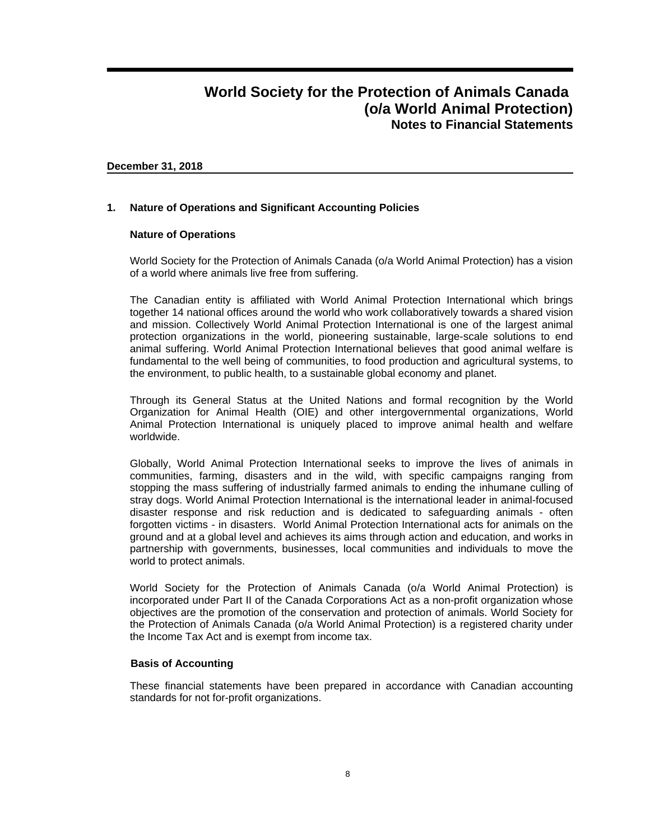### **December 31, 2018**

## **1. Nature of Operations and Significant Accounting Policies**

#### **Nature of Operations**

World Society for the Protection of Animals Canada (o/a World Animal Protection) has a vision of a world where animals live free from suffering.

The Canadian entity is affiliated with World Animal Protection International which brings together 14 national offices around the world who work collaboratively towards a shared vision and mission. Collectively World Animal Protection International is one of the largest animal protection organizations in the world, pioneering sustainable, large-scale solutions to end animal suffering. World Animal Protection International believes that good animal welfare is fundamental to the well being of communities, to food production and agricultural systems, to the environment, to public health, to a sustainable global economy and planet.

Through its General Status at the United Nations and formal recognition by the World Organization for Animal Health (OIE) and other intergovernmental organizations, World Animal Protection International is uniquely placed to improve animal health and welfare worldwide.

Globally, World Animal Protection International seeks to improve the lives of animals in communities, farming, disasters and in the wild, with specific campaigns ranging from stopping the mass suffering of industrially farmed animals to ending the inhumane culling of stray dogs. World Animal Protection International is the international leader in animal-focused disaster response and risk reduction and is dedicated to safeguarding animals - often forgotten victims - in disasters. World Animal Protection International acts for animals on the ground and at a global level and achieves its aims through action and education, and works in partnership with governments, businesses, local communities and individuals to move the world to protect animals.

World Society for the Protection of Animals Canada (o/a World Animal Protection) is incorporated under Part II of the Canada Corporations Act as a non-profit organization whose objectives are the promotion of the conservation and protection of animals. World Society for the Protection of Animals Canada (o/a World Animal Protection) is a registered charity under the Income Tax Act and is exempt from income tax.

### **Basis of Accounting**

These financial statements have been prepared in accordance with Canadian accounting standards for not for-profit organizations.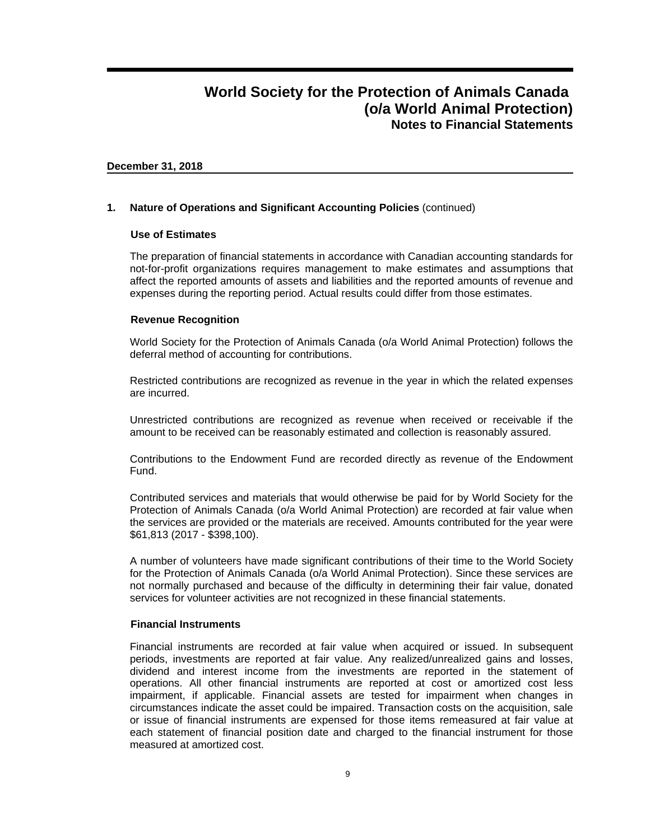#### **December 31, 2018**

### **1. Nature of Operations and Significant Accounting Policies** (continued)

### **Use of Estimates**

The preparation of financial statements in accordance with Canadian accounting standards for not-for-profit organizations requires management to make estimates and assumptions that affect the reported amounts of assets and liabilities and the reported amounts of revenue and expenses during the reporting period. Actual results could differ from those estimates.

#### **Revenue Recognition**

World Society for the Protection of Animals Canada (o/a World Animal Protection) follows the deferral method of accounting for contributions.

Restricted contributions are recognized as revenue in the year in which the related expenses are incurred.

Unrestricted contributions are recognized as revenue when received or receivable if the amount to be received can be reasonably estimated and collection is reasonably assured.

Contributions to the Endowment Fund are recorded directly as revenue of the Endowment Fund.

Contributed services and materials that would otherwise be paid for by World Society for the Protection of Animals Canada (o/a World Animal Protection) are recorded at fair value when the services are provided or the materials are received. Amounts contributed for the year were \$61,813 (2017 - \$398,100).

A number of volunteers have made significant contributions of their time to the World Society for the Protection of Animals Canada (o/a World Animal Protection). Since these services are not normally purchased and because of the difficulty in determining their fair value, donated services for volunteer activities are not recognized in these financial statements.

#### **Financial Instruments**

Financial instruments are recorded at fair value when acquired or issued. In subsequent periods, investments are reported at fair value. Any realized/unrealized gains and losses, dividend and interest income from the investments are reported in the statement of operations. All other financial instruments are reported at cost or amortized cost less impairment, if applicable. Financial assets are tested for impairment when changes in circumstances indicate the asset could be impaired. Transaction costs on the acquisition, sale or issue of financial instruments are expensed for those items remeasured at fair value at each statement of financial position date and charged to the financial instrument for those measured at amortized cost.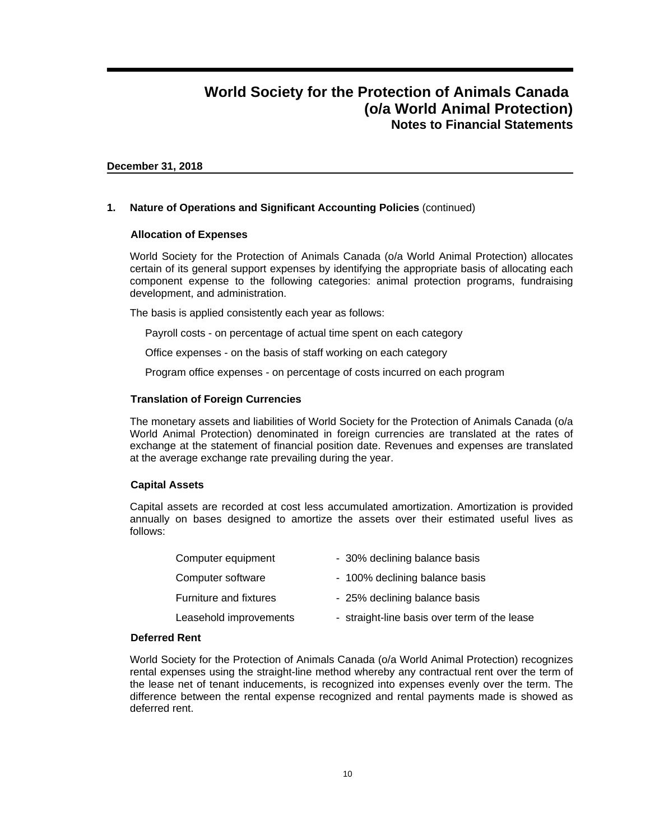### **December 31, 2018**

### **1. Nature of Operations and Significant Accounting Policies** (continued)

### **Allocation of Expenses**

World Society for the Protection of Animals Canada (o/a World Animal Protection) allocates certain of its general support expenses by identifying the appropriate basis of allocating each component expense to the following categories: animal protection programs, fundraising development, and administration.

The basis is applied consistently each year as follows:

Payroll costs - on percentage of actual time spent on each category

Office expenses - on the basis of staff working on each category

Program office expenses - on percentage of costs incurred on each program

### **Translation of Foreign Currencies**

The monetary assets and liabilities of World Society for the Protection of Animals Canada (o/a World Animal Protection) denominated in foreign currencies are translated at the rates of exchange at the statement of financial position date. Revenues and expenses are translated at the average exchange rate prevailing during the year.

### **Capital Assets**

Capital assets are recorded at cost less accumulated amortization. Amortization is provided annually on bases designed to amortize the assets over their estimated useful lives as follows:

| Computer equipment     | - 30% declining balance basis                |
|------------------------|----------------------------------------------|
| Computer software      | - 100% declining balance basis               |
| Furniture and fixtures | - 25% declining balance basis                |
| Leasehold improvements | - straight-line basis over term of the lease |

### **Deferred Rent**

World Society for the Protection of Animals Canada (o/a World Animal Protection) recognizes rental expenses using the straight-line method whereby any contractual rent over the term of the lease net of tenant inducements, is recognized into expenses evenly over the term. The difference between the rental expense recognized and rental payments made is showed as deferred rent.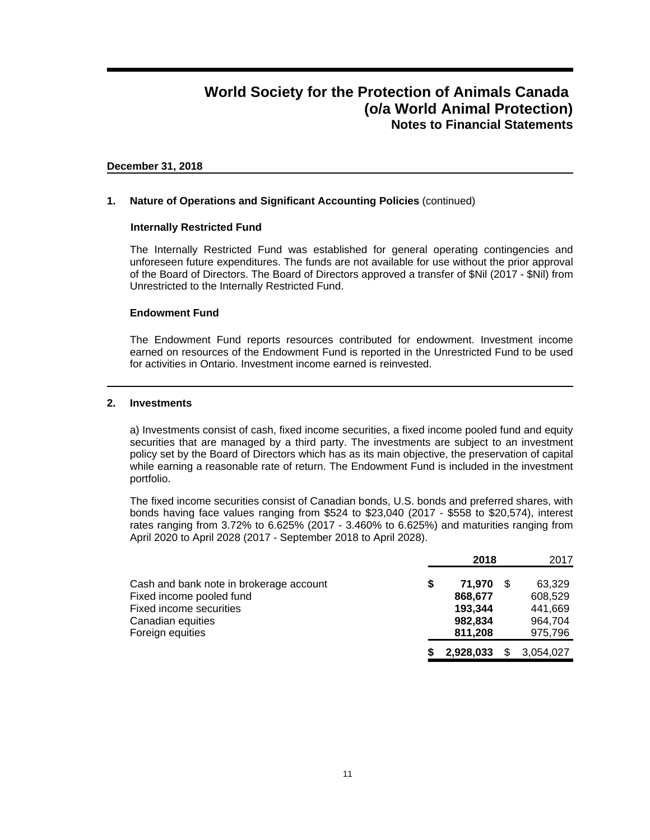### **December 31, 2018**

### **1. Nature of Operations and Significant Accounting Policies** (continued)

#### **Internally Restricted Fund**

The Internally Restricted Fund was established for general operating contingencies and unforeseen future expenditures. The funds are not available for use without the prior approval of the Board of Directors. The Board of Directors approved a transfer of \$Nil (2017 - \$Nil) from Unrestricted to the Internally Restricted Fund.

#### **Endowment Fund**

The Endowment Fund reports resources contributed for endowment. Investment income earned on resources of the Endowment Fund is reported in the Unrestricted Fund to be used for activities in Ontario. Investment income earned is reinvested.

#### **2. Investments**

a) Investments consist of cash, fixed income securities, a fixed income pooled fund and equity securities that are managed by a third party. The investments are subject to an investment policy set by the Board of Directors which has as its main objective, the preservation of capital while earning a reasonable rate of return. The Endowment Fund is included in the investment portfolio.

The fixed income securities consist of Canadian bonds, U.S. bonds and preferred shares, with bonds having face values ranging from \$524 to \$23,040 (2017 - \$558 to \$20,574), interest rates ranging from 3.72% to 6.625% (2017 - 3.460% to 6.625%) and maturities ranging from April 2020 to April 2028 (2017 - September 2018 to April 2028).

|                                         | 2018         | 2017      |
|-----------------------------------------|--------------|-----------|
| Cash and bank note in brokerage account | \$<br>71.970 | 63,329    |
| Fixed income pooled fund                | 868,677      | 608,529   |
| Fixed income securities                 | 193.344      | 441,669   |
| Canadian equities                       | 982,834      | 964,704   |
| Foreign equities                        | 811,208      | 975,796   |
|                                         | 2,928,033    | 3.054.027 |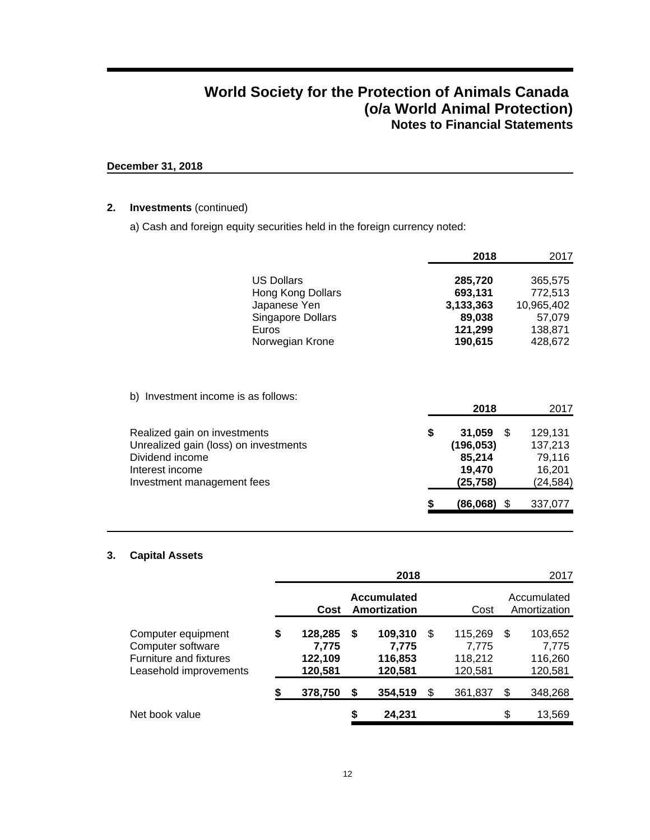## **December 31, 2018**

## **2. Investments** (continued)

a) Cash and foreign equity securities held in the foreign currency noted:

|                                                                                                                                           |                                                        | 2018                                                       |     | 2017                                               |
|-------------------------------------------------------------------------------------------------------------------------------------------|--------------------------------------------------------|------------------------------------------------------------|-----|----------------------------------------------------|
|                                                                                                                                           | <b>US Dollars</b><br>Hong Kong Dollars<br>Japanese Yen | 285,720<br>693,131<br>3,133,363                            |     | 365,575<br>772,513<br>10,965,402                   |
|                                                                                                                                           | Singapore Dollars<br>Euros<br>Norwegian Krone          | 89,038<br>121,299<br>190,615                               |     | 57,079<br>138,871<br>428,672                       |
| b) Investment income is as follows:                                                                                                       |                                                        | 2018                                                       |     | 2017                                               |
| Realized gain on investments<br>Unrealized gain (loss) on investments<br>Dividend income<br>Interest income<br>Investment management fees |                                                        | \$<br>31,059<br>(196, 053)<br>85,214<br>19,470<br>(25,758) | - S | 129,131<br>137,213<br>79,116<br>16,201<br>(24,584) |
|                                                                                                                                           |                                                        | \$<br>(86,068)                                             | S   | 337,077                                            |

## **3. Capital Assets**

|                                                                                                    |                                              |    | 2018                                   |   |                                        |     | 2017                                   |
|----------------------------------------------------------------------------------------------------|----------------------------------------------|----|----------------------------------------|---|----------------------------------------|-----|----------------------------------------|
|                                                                                                    | Cost                                         |    | <b>Accumulated</b><br>Amortization     |   | Cost                                   |     | Accumulated<br>Amortization            |
| Computer equipment<br>Computer software<br><b>Furniture and fixtures</b><br>Leasehold improvements | \$<br>128,285<br>7,775<br>122,109<br>120,581 | S  | 109,310<br>7,775<br>116,853<br>120,581 | S | 115,269<br>7.775<br>118,212<br>120,581 | \$. | 103,652<br>7,775<br>116,260<br>120,581 |
|                                                                                                    | 378,750                                      | \$ | 354,519                                | S | 361,837                                | \$  | 348,268                                |
| Net book value                                                                                     |                                              | \$ | 24,231                                 |   |                                        | \$  | 13,569                                 |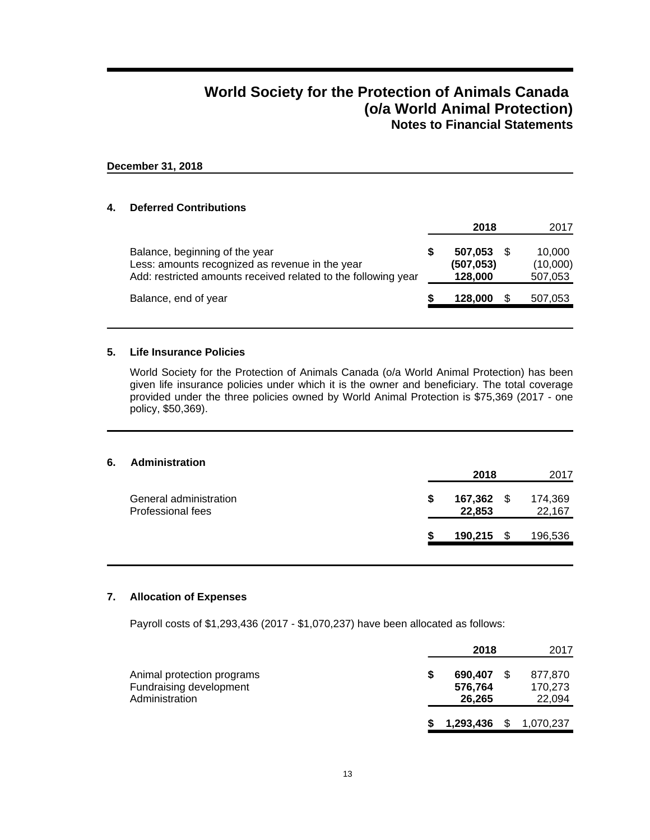### **December 31, 2018**

### **4. Deferred Contributions**

|                                                                                                                                                     | 2018                            | 2017                          |
|-----------------------------------------------------------------------------------------------------------------------------------------------------|---------------------------------|-------------------------------|
| Balance, beginning of the year<br>Less: amounts recognized as revenue in the year<br>Add: restricted amounts received related to the following year | 507,053<br>(507,053)<br>128,000 | 10,000<br>(10,000)<br>507,053 |
| Balance, end of year                                                                                                                                | 128,000                         | 507,053                       |

### **5. Life Insurance Policies**

World Society for the Protection of Animals Canada (o/a World Animal Protection) has been given life insurance policies under which it is the owner and beneficiary. The total coverage provided under the three policies owned by World Animal Protection is \$75,369 (2017 - one policy, \$50,369).

#### **6. Administration**

|                                             | 2018                 | 2017 |                   |
|---------------------------------------------|----------------------|------|-------------------|
| General administration<br>Professional fees | 167,362 \$<br>22,853 |      | 174,369<br>22,167 |
|                                             | 190,215 \$           |      | 196,536           |

#### **7. Allocation of Expenses**

Payroll costs of \$1,293,436 (2017 - \$1,070,237) have been allocated as follows:

|                                                                         |   | 2018                         | 2017 |                              |
|-------------------------------------------------------------------------|---|------------------------------|------|------------------------------|
| Animal protection programs<br>Fundraising development<br>Administration | S | 690.407<br>576,764<br>26,265 |      | 877,870<br>170,273<br>22,094 |
|                                                                         |   | 1,293,436 \$                 |      | 1,070,237                    |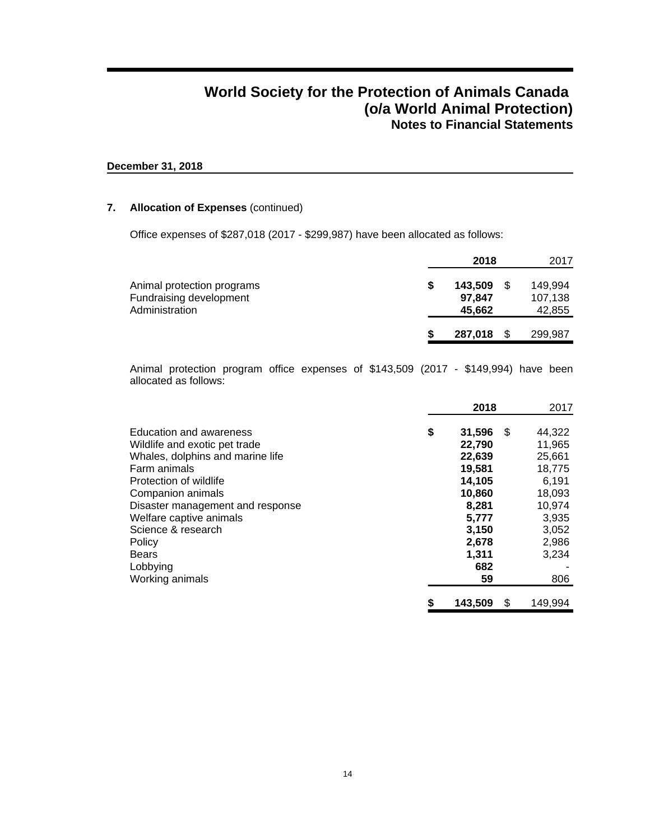## **December 31, 2018**

## **7. Allocation of Expenses** (continued)

Office expenses of \$287,018 (2017 - \$299,987) have been allocated as follows:

|                                                                         | 2018                        | 2017                         |
|-------------------------------------------------------------------------|-----------------------------|------------------------------|
| Animal protection programs<br>Fundraising development<br>Administration | 143.509<br>97.847<br>45,662 | 149.994<br>107,138<br>42,855 |
|                                                                         | 287,018                     | 299,987                      |

Animal protection program office expenses of \$143,509 (2017 - \$149,994) have been allocated as follows:

|                                                                                   | 2018                    |    | 2017                     |
|-----------------------------------------------------------------------------------|-------------------------|----|--------------------------|
| Education and awareness<br>Wildlife and exotic pet trade                          | \$<br>31,596<br>22,790  | \$ | 44,322<br>11,965         |
| Whales, dolphins and marine life<br>Farm animals                                  | 22,639<br>19,581        |    | 25,661<br>18.775         |
| Protection of wildlife<br>Companion animals                                       | 14,105<br>10,860        |    | 6.191<br>18,093          |
| Disaster management and response<br>Welfare captive animals<br>Science & research | 8,281<br>5,777<br>3,150 |    | 10,974<br>3,935<br>3,052 |
| Policy<br><b>Bears</b>                                                            | 2,678<br>1,311          |    | 2,986<br>3,234           |
| Lobbying<br>Working animals                                                       | 682<br>59               |    | 806                      |
|                                                                                   | \$<br>143.509           | S  | 149.994                  |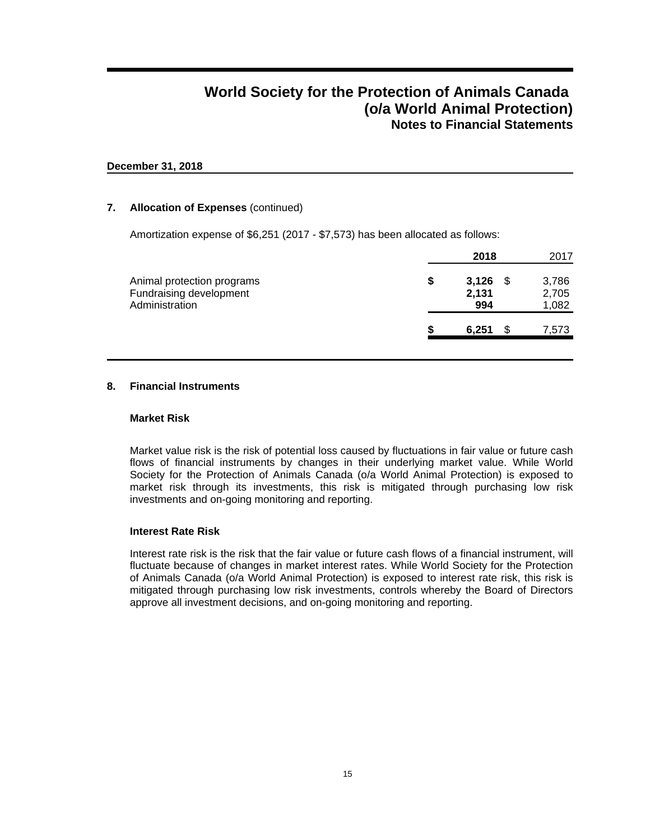### **December 31, 2018**

### **7. Allocation of Expenses** (continued)

Amortization expense of \$6,251 (2017 - \$7,573) has been allocated as follows:

|                                                                         | 2018                             | 2017                    |
|-------------------------------------------------------------------------|----------------------------------|-------------------------|
| Animal protection programs<br>Fundraising development<br>Administration | \$<br>$3,126$ \$<br>2,131<br>994 | 3,786<br>2,705<br>1,082 |
|                                                                         | 6.251                            | 7.573                   |

### **8. Financial Instruments**

#### **Market Risk**

Market value risk is the risk of potential loss caused by fluctuations in fair value or future cash flows of financial instruments by changes in their underlying market value. While World Society for the Protection of Animals Canada (o/a World Animal Protection) is exposed to market risk through its investments, this risk is mitigated through purchasing low risk investments and on-going monitoring and reporting.

#### **Interest Rate Risk**

Interest rate risk is the risk that the fair value or future cash flows of a financial instrument, will fluctuate because of changes in market interest rates. While World Society for the Protection of Animals Canada (o/a World Animal Protection) is exposed to interest rate risk, this risk is mitigated through purchasing low risk investments, controls whereby the Board of Directors approve all investment decisions, and on-going monitoring and reporting.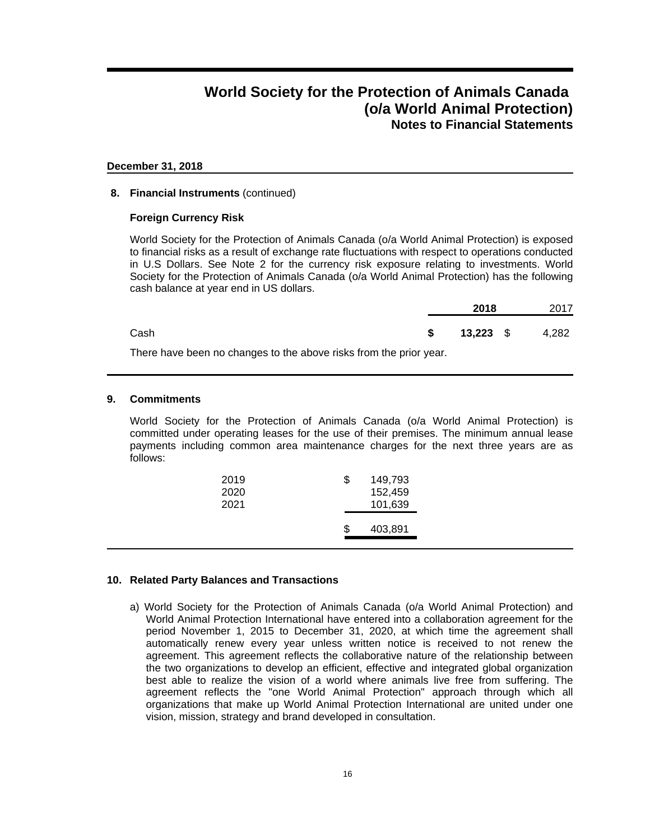#### **December 31, 2018**

#### **8. Financial Instruments** (continued)

#### **Foreign Currency Risk**

World Society for the Protection of Animals Canada (o/a World Animal Protection) is exposed to financial risks as a result of exchange rate fluctuations with respect to operations conducted in U.S Dollars. See Note 2 for the currency risk exposure relating to investments. World Society for the Protection of Animals Canada (o/a World Animal Protection) has the following cash balance at year end in US dollars.

|                                                                                                                    | 2018                | 2017 |  |
|--------------------------------------------------------------------------------------------------------------------|---------------------|------|--|
| Cash                                                                                                               | $$ 13,223 \$ 4,282$ |      |  |
| the contract of the contract of the<br>the contract of the contract of<br>the contract of the contract of the con- |                     |      |  |

There have been no changes to the above risks from the prior year.

#### **9. Commitments**

World Society for the Protection of Animals Canada (o/a World Animal Protection) is committed under operating leases for the use of their premises. The minimum annual lease payments including common area maintenance charges for the next three years are as follows:

| 2019<br>2020<br>2021 | S | 149,793<br>152,459<br>101,639 |
|----------------------|---|-------------------------------|
|                      | S | 403,891                       |

#### **10. Related Party Balances and Transactions**

a) World Society for the Protection of Animals Canada (o/a World Animal Protection) and World Animal Protection International have entered into a collaboration agreement for the period November 1, 2015 to December 31, 2020, at which time the agreement shall automatically renew every year unless written notice is received to not renew the agreement. This agreement reflects the collaborative nature of the relationship between the two organizations to develop an efficient, effective and integrated global organization best able to realize the vision of a world where animals live free from suffering. The agreement reflects the "one World Animal Protection" approach through which all organizations that make up World Animal Protection International are united under one vision, mission, strategy and brand developed in consultation.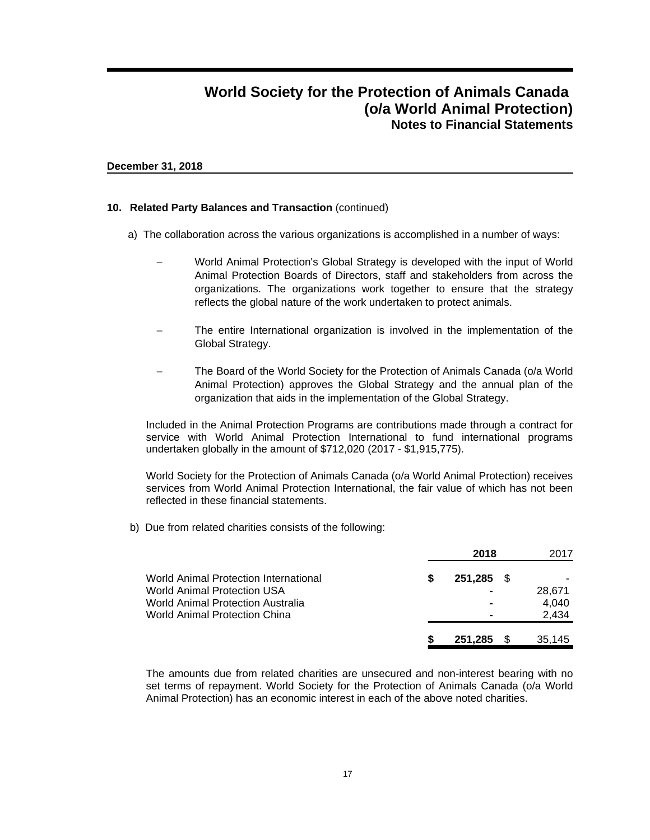### **December 31, 2018**

### **10. Related Party Balances and Transaction** (continued)

- a) The collaboration across the various organizations is accomplished in a number of ways:
	- World Animal Protection's Global Strategy is developed with the input of World Animal Protection Boards of Directors, staff and stakeholders from across the organizations. The organizations work together to ensure that the strategy reflects the global nature of the work undertaken to protect animals.
	- The entire International organization is involved in the implementation of the Global Strategy.
	- The Board of the World Society for the Protection of Animals Canada (o/a World Animal Protection) approves the Global Strategy and the annual plan of the organization that aids in the implementation of the Global Strategy.

Included in the Animal Protection Programs are contributions made through a contract for service with World Animal Protection International to fund international programs undertaken globally in the amount of \$712,020 (2017 - \$1,915,775).

World Society for the Protection of Animals Canada (o/a World Animal Protection) receives services from World Animal Protection International, the fair value of which has not been reflected in these financial statements.

b) Due from related charities consists of the following:

|                                       | 2018       | 2017   |
|---------------------------------------|------------|--------|
| World Animal Protection International | 251,285 \$ |        |
| <b>World Animal Protection USA</b>    |            | 28.671 |
| World Animal Protection Australia     |            | 4.040  |
| World Animal Protection China         |            | 2,434  |
|                                       | 251.285 \$ | 35.145 |

The amounts due from related charities are unsecured and non-interest bearing with no set terms of repayment. World Society for the Protection of Animals Canada (o/a World Animal Protection) has an economic interest in each of the above noted charities.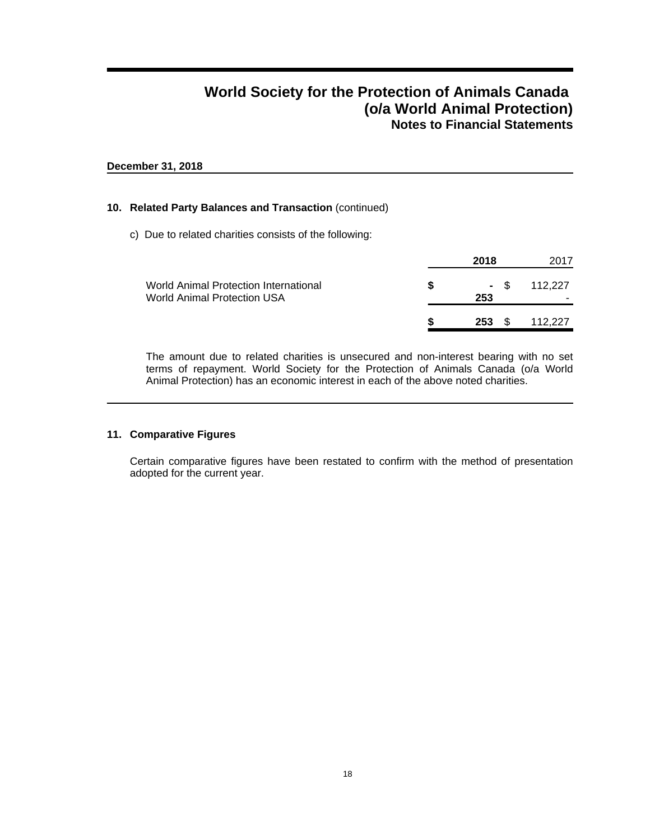#### **December 31, 2018**

### **10. Related Party Balances and Transaction** (continued)

c) Due to related charities consists of the following:

|                                                                      |   | 2018        | 2017    |
|----------------------------------------------------------------------|---|-------------|---------|
| World Animal Protection International<br>World Animal Protection USA | S | - \$<br>253 | 112,227 |
|                                                                      |   | - \$<br>253 | 112.227 |

The amount due to related charities is unsecured and non-interest bearing with no set terms of repayment. World Society for the Protection of Animals Canada (o/a World Animal Protection) has an economic interest in each of the above noted charities.

#### **11. Comparative Figures**

Certain comparative figures have been restated to confirm with the method of presentation adopted for the current year.